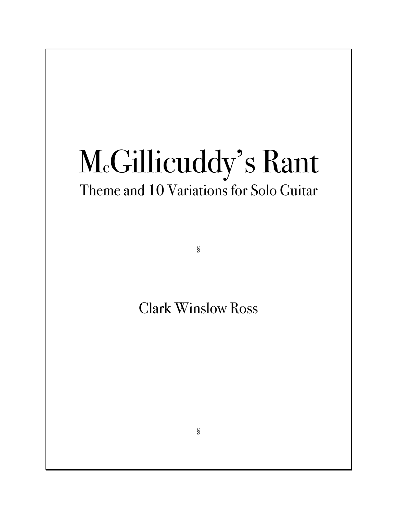# McGillicuddy's Rant Theme and 10 Variations for Solo Guitar

§

# Clark Winslow Ross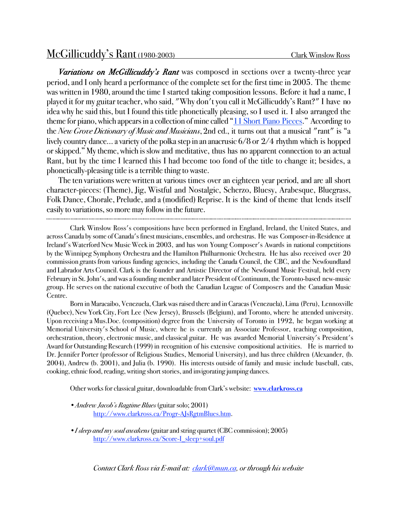#### McGillicuddy's Rant (1980-2003) Clark Winslow Ross

*Variations on McGillicuddy's Rant* was composed in sections over a twenty-three year period, and I only heard a performance of the complete set for the first time in 2005. The theme was written in 1980, around the time I started taking composition lessons. Before it had a name, I played it for my guitar teacher, who said, "Why don't you call it McGillicuddy's Rant?" I have no idea why he said this, but I found this title phonetically pleasing, so I used it. I also arranged the theme for piano, which appears in a collection of mine called "11 Short Piano Pieces." According to the *New Grove Dictionary of Music and Musicians*, 2nd ed., it turns out that a musical "rant" is "a lively country dance… a variety of the polka step in an anacrusic 6/8 or 2/4 rhythm which is hopped or skipped." My theme, which is slow and meditative, thus has no apparent connection to an actual Rant, but by the time I learned this I had become too fond of the title to change it; besides, a phonetically-pleasing title is a terrible thing to waste.

The ten variations were written at various times over an eighteen year period, and are all short character-pieces: (Theme), Jig, Wistful and Nostalgic, Scherzo, Bluesy, Arabesque, Bluegrass, Folk Dance, Chorale, Prelude, and a (modified) Reprise. It is the kind of theme that lends itself easily to variations, so more may follow in the future.

Clark Winslow Ross's compositions have been performed in England, Ireland, the United States, and across Canada by some of Canada's finest musicians, ensembles, and orchestras. He was Composer-in-Residence at Ireland's Waterford New Music Week in 2003, and has won Young Composer's Awards in national competitions by the Winnipeg Symphony Orchestra and the Hamilton Philharmonic Orchestra. He has also received over 20 commission grants from various funding agencies, including the Canada Council, the CBC, and the Newfoundland and Labrador Arts Council. Clark is the founder and Artistic Director of the Newfound Music Festival, held every February in St. John's, and was a founding member and later President of Continuum, the Toronto-based new-music group. He serves on the national executive of both the Canadian League of Composers and the Canadian Music Centre.

Born in Maracaibo, Venezuela, Clark was raised there and in Caracas (Venezuela), Lima (Peru), Lennoxville (Quebec), New York City, Fort Lee (New Jersey), Brussels (Belgium), and Toronto, where he attended university. Upon receiving a Mus.Doc. (composition) degree from the University of Toronto in 1992, he began working at Memorial University's School of Music, where he is currently an Associate Professor, teaching composition, orchestration, theory, electronic music, and classical guitar. He was awarded Memorial University's President's Award for Outstanding Research (1999) in recognition of his extensive compositional activities. He is married to Dr. Jennifer Porter (professor of Religious Studies, Memorial University), and has three children (Alexander, (b. 2004), Andrew (b. 2001), and Julia (b. 1990). His interests outside of family and music include baseball, cats, cooking, ethnic food, reading, writing short stories, and invigorating jumping dances.

Other works for classical guitar, downloadable from Clark's website: **www.clarkross.ca**

- •*Andrew Jacob's Ragtime Blues* (guitar solo; 2001) http://www.clarkross.ca/Progr-AJsRgtmBlues.htm.
- •*I sleep and my soul awakens* (guitar and string quartet (CBC commission); 2005) http://www.clarkross.ca/Score-I\_sleep+soul.pdf

*Contact Clark Ross via E-mail at: clark@mun.ca, or through his website*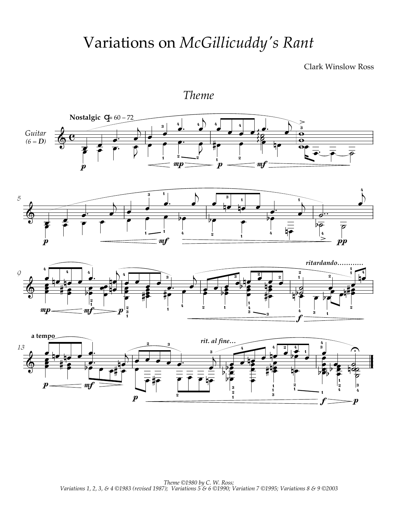## Variations on McGillicuddy's Rant

**Clark Winslow Ross** 



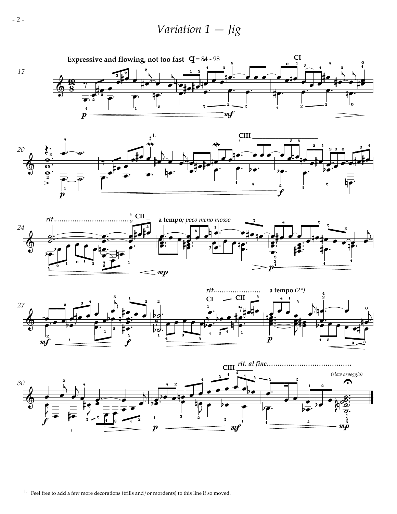### Variation  $1 - Jig$









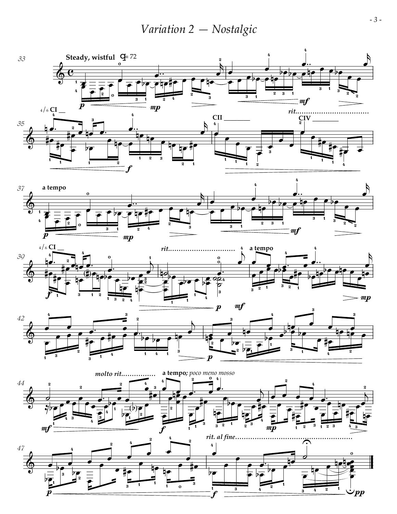*Variation 2 — Nostalgic*

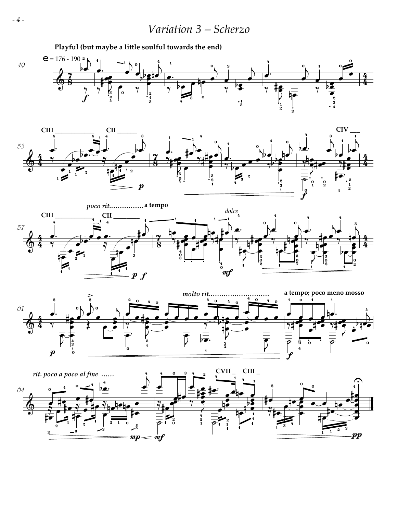Variation 3 - Scherzo

Playful (but maybe a little soulful towards the end)

 $\boldsymbol{p}$ 





 $\int\limits_0^4$ 



- 4 -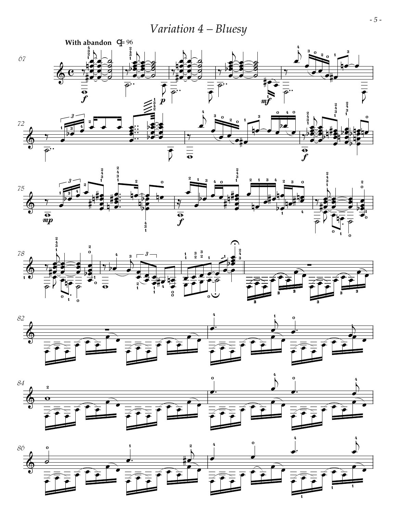Variation 4 - Bluesy











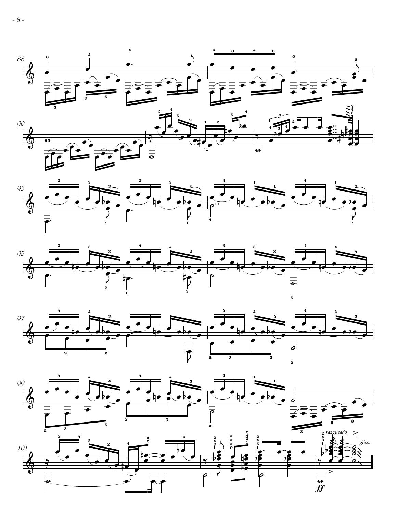







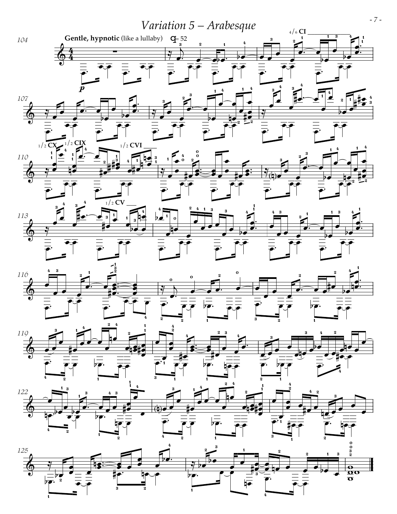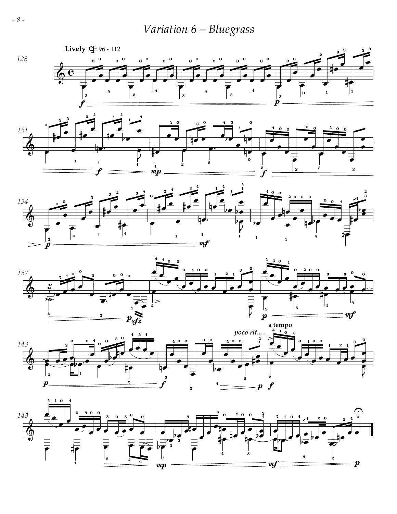Variation 6 - Bluegrass



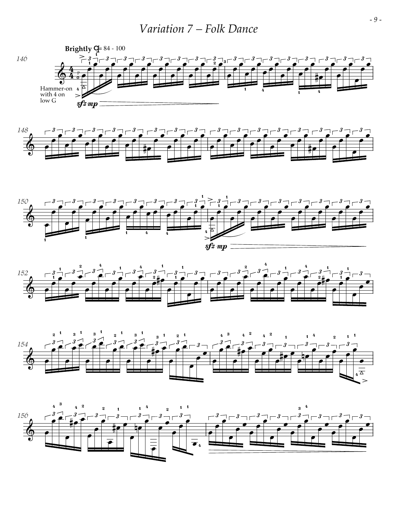*Variation 7 – Folk Dance*





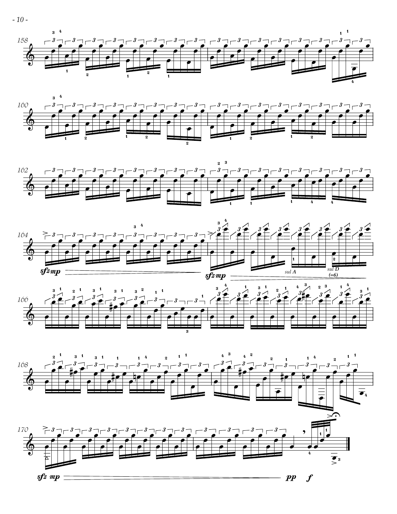









*- 10 -*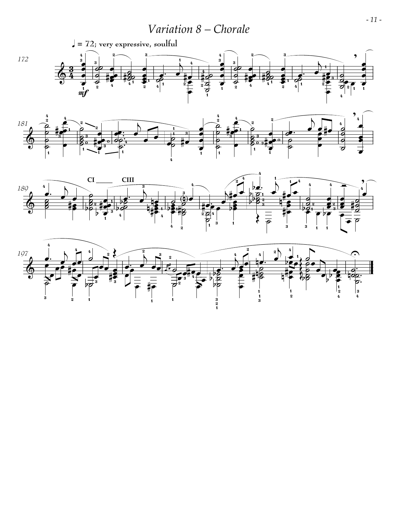Variation  $8$  – Chorale







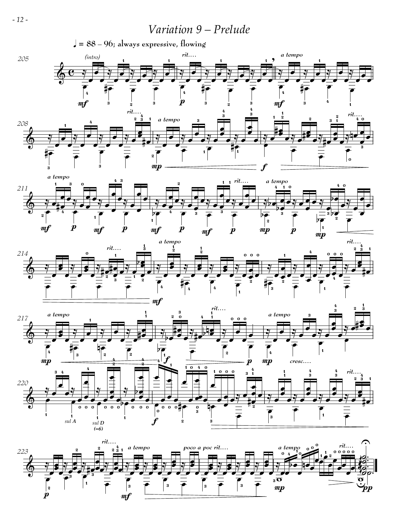Variation 9 – Prelude











 $-12-$